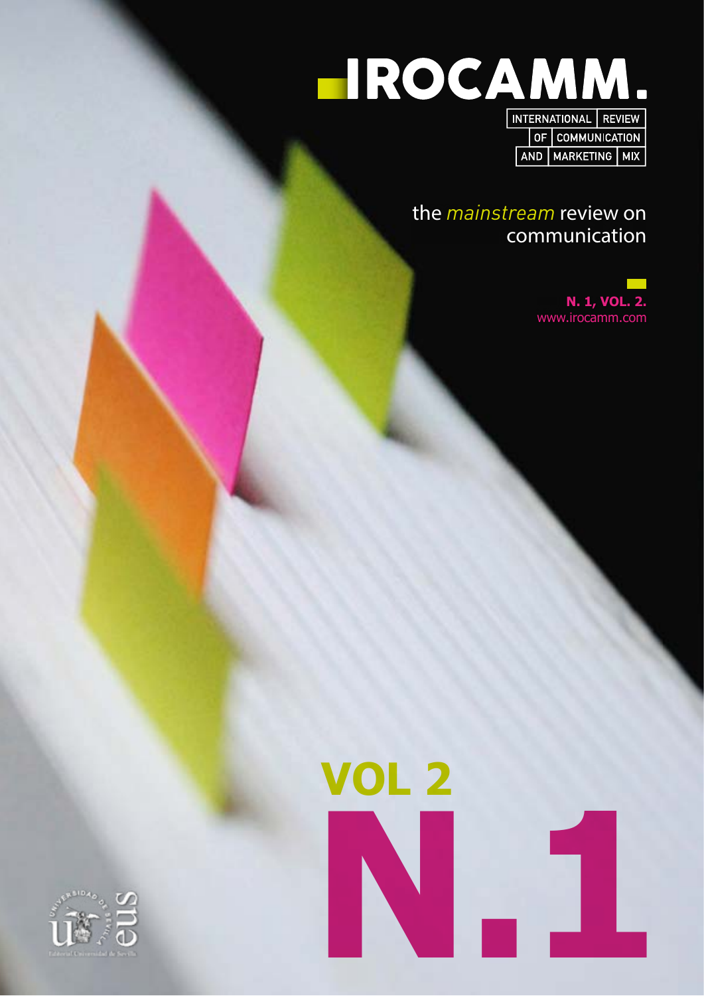

the *mainstream* review on communication

> **N. 1, VOL. 2.** www.irocamm.com

AND MARKETING MIX



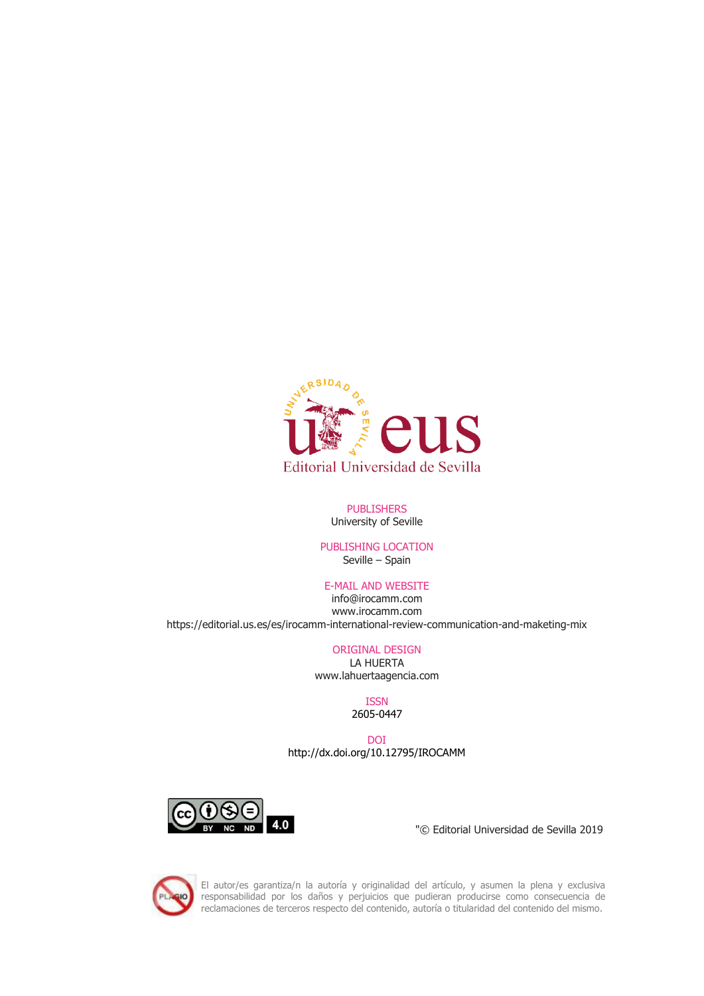

#### PUBLISHERS University of Seville

## PUBLISHING LOCATION Seville – Spain

## E-MAIL AND WEBSITE

info@irocamm.com www.irocamm.com https://editorial.us.es/es/irocamm-international-review-communication-and-maketing-mix

## ORIGINAL DESIGN

LA HUERTA www.lahuertaagencia.com

#### ISSN 2605-0447

DOI <http://dx.doi.org/10.12795/IROCAMM>



"© Editorial Universidad de Sevilla 2019



El autor/es garantiza/n la autoría y originalidad del artículo, y asumen la plena y exclusiva responsabilidad por los daños y perjuicios que pudieran producirse como consecuencia de reclamaciones de terceros respecto del contenido, autoría o titularidad del contenido del mismo.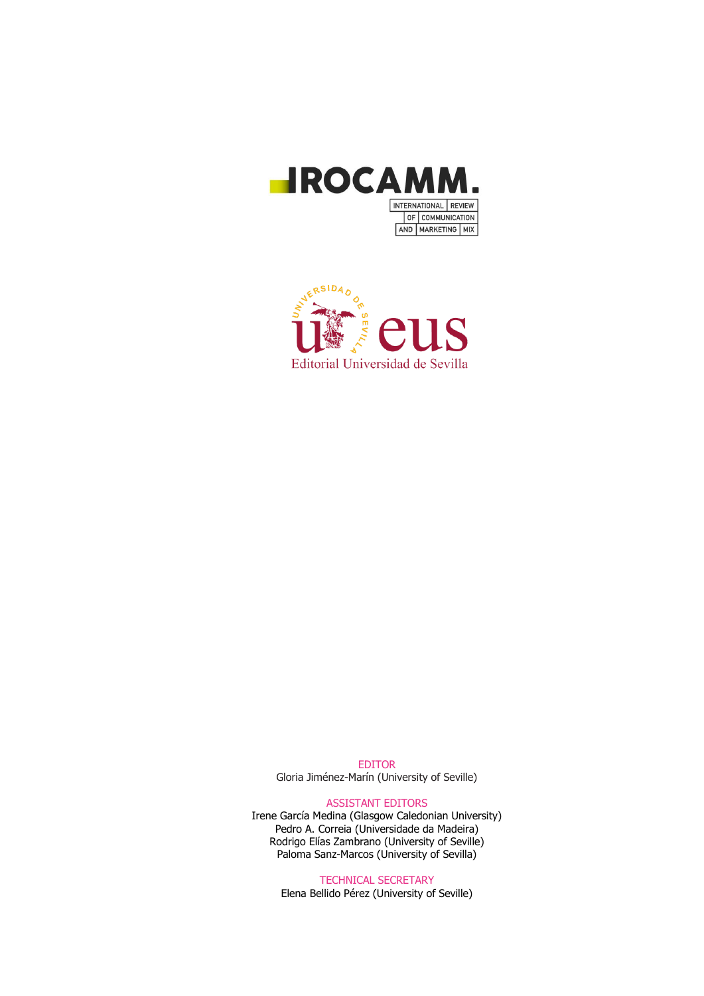



EDITOR Gloria Jiménez-Marín (University of Seville)

#### ASSISTANT EDITORS

Irene García Medina (Glasgow Caledonian University) Pedro A. Correia (Universidade da Madeira) Rodrigo Elías Zambrano (University of Seville) Paloma Sanz-Marcos (University of Sevilla)

TECHNICAL SECRETARY

Elena Bellido Pérez (University of Seville)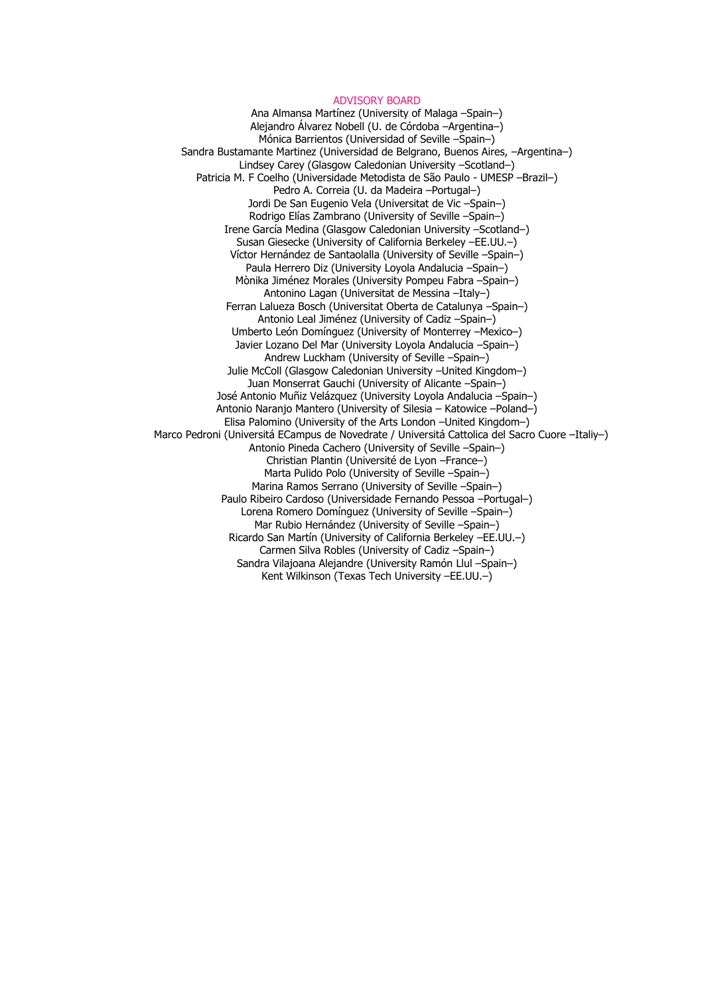#### ADVISORY BOARD

Ana Almansa Martínez (University of Malaga –Spain–) Alejandro Álvarez Nobell (U. de Córdoba –Argentina–) Mónica Barrientos (Universidad of Seville –Spain–) Sandra Bustamante Martinez (Universidad de Belgrano, Buenos Aires, –Argentina–) Lindsey Carey (Glasgow Caledonian University –Scotland–) Patricia M. F Coelho (Universidade Metodista de São Paulo - UMESP –Brazil–) Pedro A. Correia (U. da Madeira –Portugal–) Jordi De San Eugenio Vela (Universitat de Vic –Spain–) Rodrigo Elías Zambrano (University of Seville –Spain–) Irene García Medina (Glasgow Caledonian University –Scotland–) Susan Giesecke (University of California Berkeley –EE.UU.–) Víctor Hernández de Santaolalla (University of Seville –Spain–) Paula Herrero Diz (University Loyola Andalucia –Spain–) Mònika Jiménez Morales (University Pompeu Fabra –Spain–) Antonino Lagan (Universitat de Messina –Italy–) Ferran Lalueza Bosch (Universitat Oberta de Catalunya –Spain–) Antonio Leal Jiménez (University of Cadiz –Spain–) Umberto León Domínguez (University of Monterrey –Mexico–) Javier Lozano Del Mar (University Loyola Andalucia –Spain–) Andrew Luckham (University of Seville –Spain–) Julie McColl (Glasgow Caledonian University –United Kingdom–) Juan Monserrat Gauchi (University of Alicante –Spain–) José Antonio Muñiz Velázquez (University Loyola Andalucia –Spain–) Antonio Naranjo Mantero (University of Silesia – Katowice –Poland–) Elisa Palomino (University of the Arts London –United Kingdom–) Marco Pedroni (Universitá ECampus de Novedrate / Universitá Cattolica del Sacro Cuore –Italiy–) Antonio Pineda Cachero (University of Seville –Spain–) Christian Plantin (Université de Lyon –France–) Marta Pulido Polo (University of Seville –Spain–) Marina Ramos Serrano (University of Seville –Spain–) Paulo Ribeiro Cardoso (Universidade Fernando Pessoa –Portugal–) Lorena Romero Domínguez (University of Seville –Spain–) Mar Rubio Hernández (University of Seville –Spain–) Ricardo San Martín (University of California Berkeley –EE.UU.–) Carmen Silva Robles (University of Cadiz –Spain–) Sandra Vilajoana Alejandre (University Ramón Llul –Spain–) Kent Wilkinson (Texas Tech University –EE.UU.–)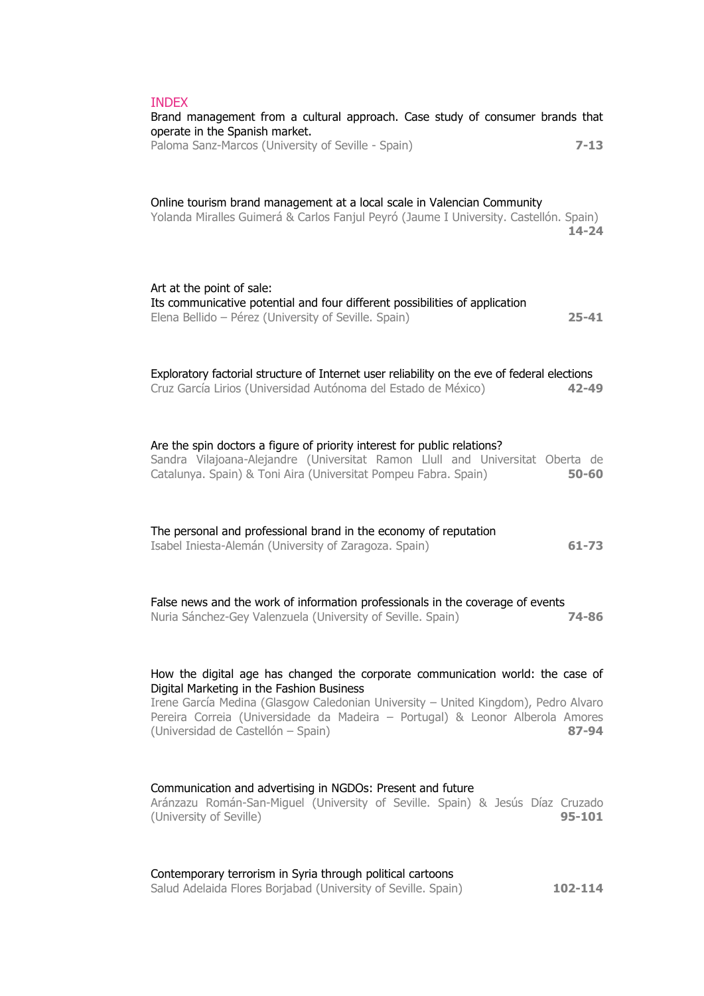| <b>INDEX</b><br>Brand management from a cultural approach. Case study of consumer brands that                                                                                                                                                          |            |
|--------------------------------------------------------------------------------------------------------------------------------------------------------------------------------------------------------------------------------------------------------|------------|
| operate in the Spanish market.<br>Paloma Sanz-Marcos (University of Seville - Spain)                                                                                                                                                                   | $7 - 13$   |
| Online tourism brand management at a local scale in Valencian Community<br>Yolanda Miralles Guimerá & Carlos Fanjul Peyró (Jaume I University. Castellón. Spain)                                                                                       | $14 - 24$  |
| Art at the point of sale:<br>Its communicative potential and four different possibilities of application<br>Elena Bellido - Pérez (University of Seville. Spain)                                                                                       | 25-41      |
| Exploratory factorial structure of Internet user reliability on the eve of federal elections<br>Cruz García Lirios (Universidad Autónoma del Estado de México)                                                                                         | $42 - 49$  |
| Are the spin doctors a figure of priority interest for public relations?<br>Sandra Vilajoana-Alejandre (Universitat Ramon Llull and Universitat Oberta de<br>Catalunya. Spain) & Toni Aira (Universitat Pompeu Fabra. Spain)                           | $50 - 60$  |
| The personal and professional brand in the economy of reputation<br>Isabel Iniesta-Alemán (University of Zaragoza. Spain)                                                                                                                              | $61 - 73$  |
| False news and the work of information professionals in the coverage of events<br>Nuria Sánchez-Gey Valenzuela (University of Seville. Spain)                                                                                                          | 74-86      |
| How the digital age has changed the corporate communication world: the case of                                                                                                                                                                         |            |
| Digital Marketing in the Fashion Business<br>Irene García Medina (Glasgow Caledonian University - United Kingdom), Pedro Alvaro<br>Pereira Correia (Universidade da Madeira - Portugal) & Leonor Alberola Amores<br>(Universidad de Castellón - Spain) | 87-94      |
| Communication and advertising in NGDOs: Present and future<br>Aránzazu Román-San-Miguel (University of Seville. Spain) & Jesús Díaz Cruzado<br>(University of Seville)                                                                                 | $95 - 101$ |
|                                                                                                                                                                                                                                                        |            |

Contemporary terrorism in Syria through political cartoons Salud Adelaida Flores Borjabad (University of Seville. Spain) **102-114**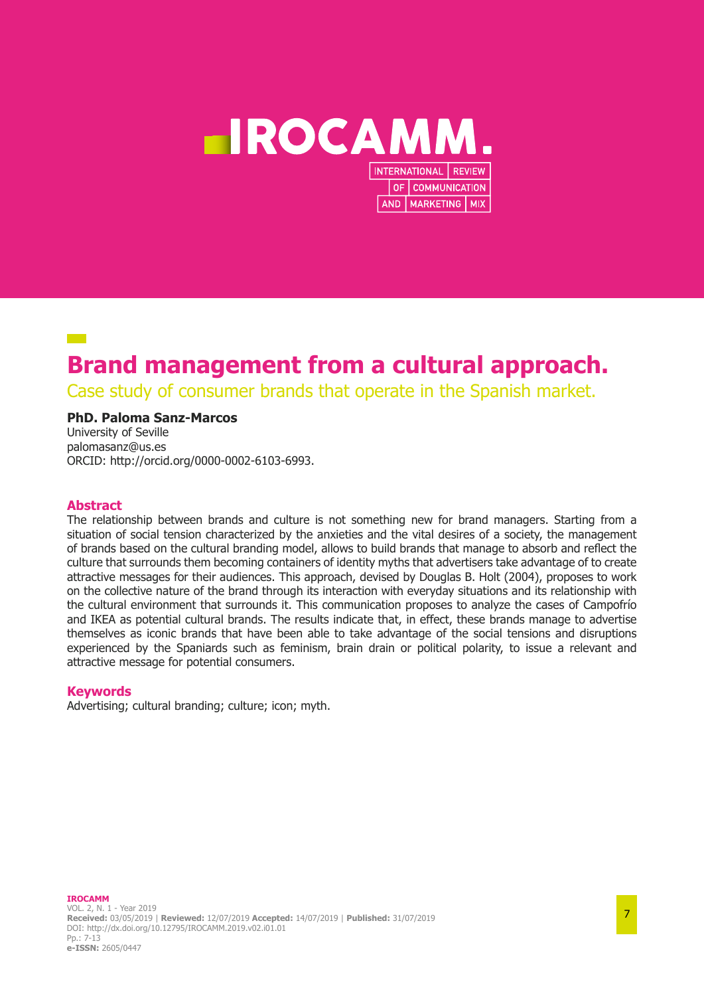

# **Brand management from a cultural approach.**

Case study of consumer brands that operate in the Spanish market.

## **PhD. Paloma Sanz-Marcos**

University of Seville palomasanz@us.es ORCID: http://orcid.org/0000-0002-6103-6993.

## **Abstract**

The relationship between brands and culture is not something new for brand managers. Starting from a situation of social tension characterized by the anxieties and the vital desires of a society, the management of brands based on the cultural branding model, allows to build brands that manage to absorb and reflect the culture that surrounds them becoming containers of identity myths that advertisers take advantage of to create attractive messages for their audiences. This approach, devised by Douglas B. Holt (2004), proposes to work on the collective nature of the brand through its interaction with everyday situations and its relationship with the cultural environment that surrounds it. This communication proposes to analyze the cases of Campofrío and IKEA as potential cultural brands. The results indicate that, in effect, these brands manage to advertise themselves as iconic brands that have been able to take advantage of the social tensions and disruptions experienced by the Spaniards such as feminism, brain drain or political polarity, to issue a relevant and attractive message for potential consumers.

## **Keywords**

Advertising; cultural branding; culture; icon; myth.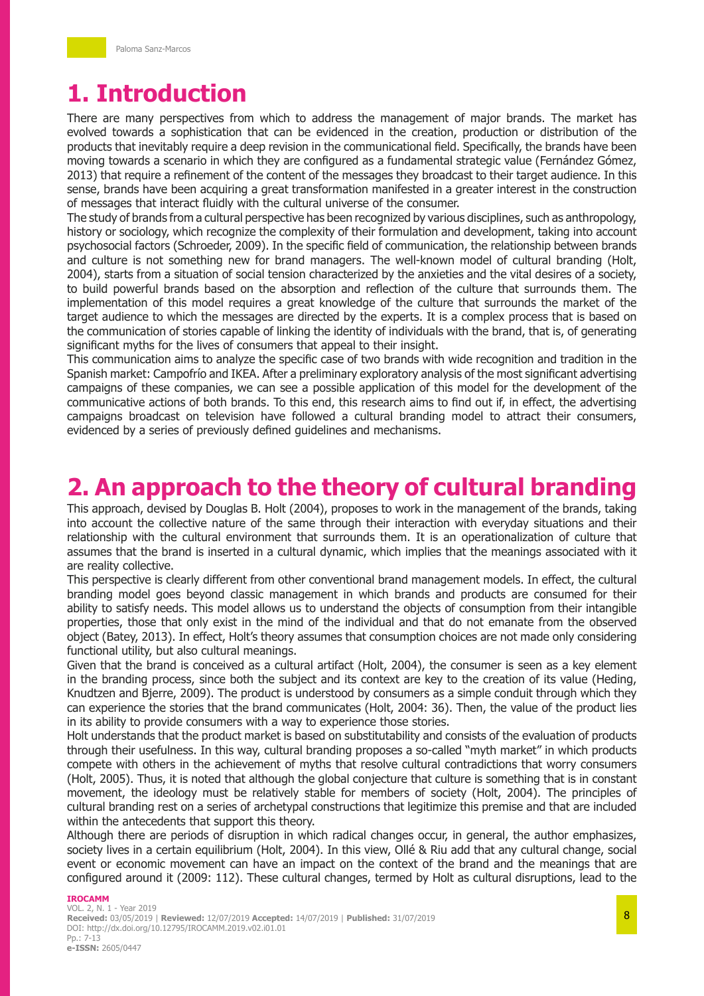# **1. Introduction**

There are many perspectives from which to address the management of major brands. The market has evolved towards a sophistication that can be evidenced in the creation, production or distribution of the products that inevitably require a deep revision in the communicational field. Specifically, the brands have been moving towards a scenario in which they are configured as a fundamental strategic value (Fernández Gómez, 2013) that require a refinement of the content of the messages they broadcast to their target audience. In this sense, brands have been acquiring a great transformation manifested in a greater interest in the construction of messages that interact fluidly with the cultural universe of the consumer.

The study of brands from a cultural perspective has been recognized by various disciplines, such as anthropology, history or sociology, which recognize the complexity of their formulation and development, taking into account psychosocial factors (Schroeder, 2009). In the specific field of communication, the relationship between brands and culture is not something new for brand managers. The well-known model of cultural branding (Holt, 2004), starts from a situation of social tension characterized by the anxieties and the vital desires of a society, to build powerful brands based on the absorption and reflection of the culture that surrounds them. The implementation of this model requires a great knowledge of the culture that surrounds the market of the target audience to which the messages are directed by the experts. It is a complex process that is based on the communication of stories capable of linking the identity of individuals with the brand, that is, of generating significant myths for the lives of consumers that appeal to their insight.

This communication aims to analyze the specific case of two brands with wide recognition and tradition in the Spanish market: Campofrío and IKEA. After a preliminary exploratory analysis of the most significant advertising campaigns of these companies, we can see a possible application of this model for the development of the communicative actions of both brands. To this end, this research aims to find out if, in effect, the advertising campaigns broadcast on television have followed a cultural branding model to attract their consumers, evidenced by a series of previously defined guidelines and mechanisms.

# **2. An approach to the theory of cultural branding**

This approach, devised by Douglas B. Holt (2004), proposes to work in the management of the brands, taking into account the collective nature of the same through their interaction with everyday situations and their relationship with the cultural environment that surrounds them. It is an operationalization of culture that assumes that the brand is inserted in a cultural dynamic, which implies that the meanings associated with it are reality collective.

This perspective is clearly different from other conventional brand management models. In effect, the cultural branding model goes beyond classic management in which brands and products are consumed for their ability to satisfy needs. This model allows us to understand the objects of consumption from their intangible properties, those that only exist in the mind of the individual and that do not emanate from the observed object (Batey, 2013). In effect, Holt's theory assumes that consumption choices are not made only considering functional utility, but also cultural meanings.

Given that the brand is conceived as a cultural artifact (Holt, 2004), the consumer is seen as a key element in the branding process, since both the subject and its context are key to the creation of its value (Heding, Knudtzen and Bjerre, 2009). The product is understood by consumers as a simple conduit through which they can experience the stories that the brand communicates (Holt, 2004: 36). Then, the value of the product lies in its ability to provide consumers with a way to experience those stories.

Holt understands that the product market is based on substitutability and consists of the evaluation of products through their usefulness. In this way, cultural branding proposes a so-called "myth market" in which products compete with others in the achievement of myths that resolve cultural contradictions that worry consumers (Holt, 2005). Thus, it is noted that although the global conjecture that culture is something that is in constant movement, the ideology must be relatively stable for members of society (Holt, 2004). The principles of cultural branding rest on a series of archetypal constructions that legitimize this premise and that are included within the antecedents that support this theory.

Although there are periods of disruption in which radical changes occur, in general, the author emphasizes, society lives in a certain equilibrium (Holt, 2004). In this view, Ollé & Riu add that any cultural change, social event or economic movement can have an impact on the context of the brand and the meanings that are configured around it (2009: 112). These cultural changes, termed by Holt as cultural disruptions, lead to the

#### **IROCAMM**

VOL. 2, N. 1 - Year 2019 **Received:** 03/05/2019 | **Reviewed:** 12/07/2019 **Accepted:** 14/07/2019 | **Published:** 31/07/2019 DOI: http://dx.doi.org/10.12795/IROCAMM.2019.v02.i01.01 Pp.: 7-13 **e-ISSN:** 2605/0447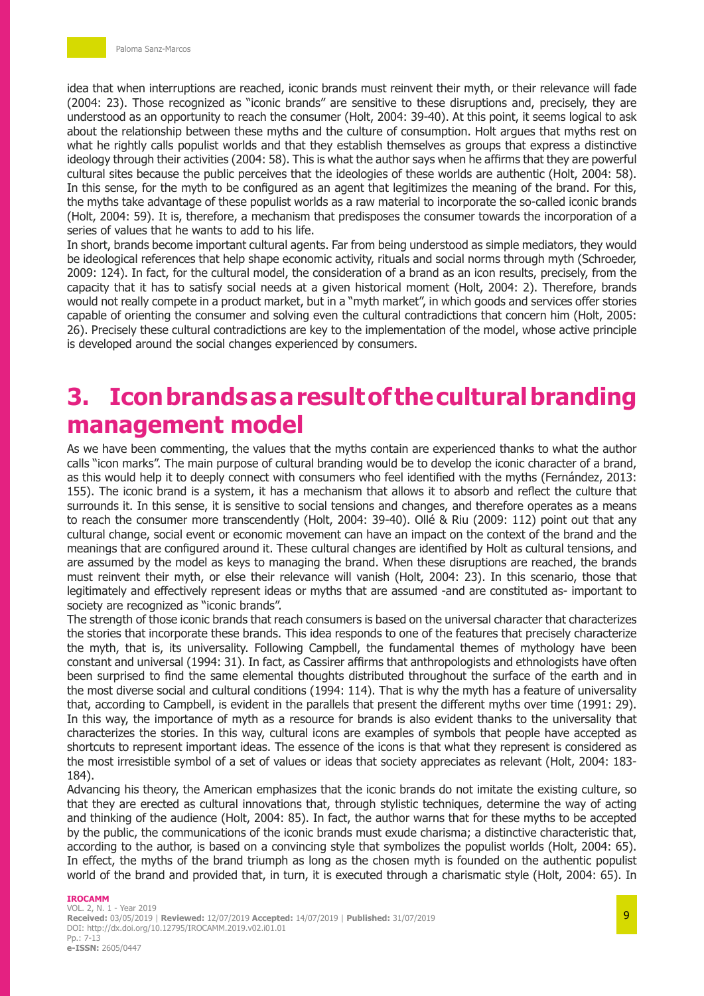idea that when interruptions are reached, iconic brands must reinvent their myth, or their relevance will fade (2004: 23). Those recognized as "iconic brands" are sensitive to these disruptions and, precisely, they are understood as an opportunity to reach the consumer (Holt, 2004: 39-40). At this point, it seems logical to ask about the relationship between these myths and the culture of consumption. Holt argues that myths rest on what he rightly calls populist worlds and that they establish themselves as groups that express a distinctive ideology through their activities (2004: 58). This is what the author says when he affirms that they are powerful cultural sites because the public perceives that the ideologies of these worlds are authentic (Holt, 2004: 58). In this sense, for the myth to be configured as an agent that legitimizes the meaning of the brand. For this, the myths take advantage of these populist worlds as a raw material to incorporate the so-called iconic brands (Holt, 2004: 59). It is, therefore, a mechanism that predisposes the consumer towards the incorporation of a series of values that he wants to add to his life.

In short, brands become important cultural agents. Far from being understood as simple mediators, they would be ideological references that help shape economic activity, rituals and social norms through myth (Schroeder, 2009: 124). In fact, for the cultural model, the consideration of a brand as an icon results, precisely, from the capacity that it has to satisfy social needs at a given historical moment (Holt, 2004: 2). Therefore, brands would not really compete in a product market, but in a "myth market", in which goods and services offer stories capable of orienting the consumer and solving even the cultural contradictions that concern him (Holt, 2005: 26). Precisely these cultural contradictions are key to the implementation of the model, whose active principle is developed around the social changes experienced by consumers.

# **3. Icon brands as a result of the cultural branding management model**

As we have been commenting, the values that the myths contain are experienced thanks to what the author calls "icon marks". The main purpose of cultural branding would be to develop the iconic character of a brand, as this would help it to deeply connect with consumers who feel identified with the myths (Fernández, 2013: 155). The iconic brand is a system, it has a mechanism that allows it to absorb and reflect the culture that surrounds it. In this sense, it is sensitive to social tensions and changes, and therefore operates as a means to reach the consumer more transcendently (Holt, 2004: 39-40). Ollé & Riu (2009: 112) point out that any cultural change, social event or economic movement can have an impact on the context of the brand and the meanings that are configured around it. These cultural changes are identified by Holt as cultural tensions, and are assumed by the model as keys to managing the brand. When these disruptions are reached, the brands must reinvent their myth, or else their relevance will vanish (Holt, 2004: 23). In this scenario, those that legitimately and effectively represent ideas or myths that are assumed -and are constituted as- important to society are recognized as "iconic brands".

The strength of those iconic brands that reach consumers is based on the universal character that characterizes the stories that incorporate these brands. This idea responds to one of the features that precisely characterize the myth, that is, its universality. Following Campbell, the fundamental themes of mythology have been constant and universal (1994: 31). In fact, as Cassirer affirms that anthropologists and ethnologists have often been surprised to find the same elemental thoughts distributed throughout the surface of the earth and in the most diverse social and cultural conditions (1994: 114). That is why the myth has a feature of universality that, according to Campbell, is evident in the parallels that present the different myths over time (1991: 29). In this way, the importance of myth as a resource for brands is also evident thanks to the universality that characterizes the stories. In this way, cultural icons are examples of symbols that people have accepted as shortcuts to represent important ideas. The essence of the icons is that what they represent is considered as the most irresistible symbol of a set of values or ideas that society appreciates as relevant (Holt, 2004: 183- 184).

Advancing his theory, the American emphasizes that the iconic brands do not imitate the existing culture, so that they are erected as cultural innovations that, through stylistic techniques, determine the way of acting and thinking of the audience (Holt, 2004: 85). In fact, the author warns that for these myths to be accepted by the public, the communications of the iconic brands must exude charisma; a distinctive characteristic that, according to the author, is based on a convincing style that symbolizes the populist worlds (Holt, 2004: 65). In effect, the myths of the brand triumph as long as the chosen myth is founded on the authentic populist world of the brand and provided that, in turn, it is executed through a charismatic style (Holt, 2004: 65). In

#### **IROCAMM**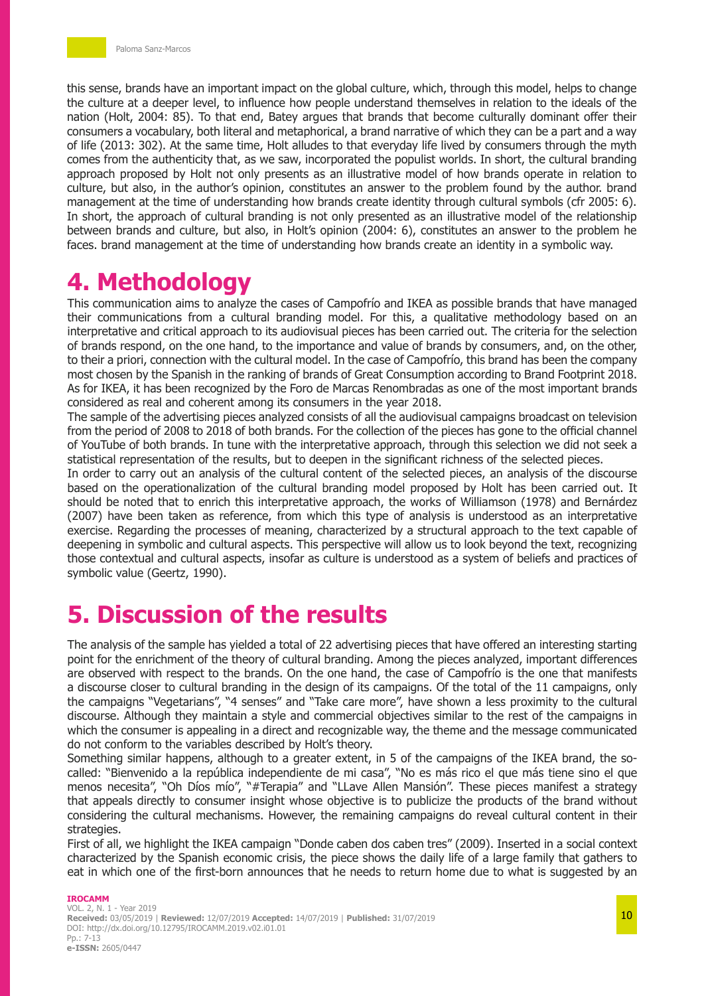this sense, brands have an important impact on the global culture, which, through this model, helps to change the culture at a deeper level, to influence how people understand themselves in relation to the ideals of the nation (Holt, 2004: 85). To that end, Batey argues that brands that become culturally dominant offer their consumers a vocabulary, both literal and metaphorical, a brand narrative of which they can be a part and a way of life (2013: 302). At the same time, Holt alludes to that everyday life lived by consumers through the myth comes from the authenticity that, as we saw, incorporated the populist worlds. In short, the cultural branding approach proposed by Holt not only presents as an illustrative model of how brands operate in relation to culture, but also, in the author's opinion, constitutes an answer to the problem found by the author. brand management at the time of understanding how brands create identity through cultural symbols (cfr 2005: 6). In short, the approach of cultural branding is not only presented as an illustrative model of the relationship between brands and culture, but also, in Holt's opinion (2004: 6), constitutes an answer to the problem he faces. brand management at the time of understanding how brands create an identity in a symbolic way.

# **4. Methodology**

This communication aims to analyze the cases of Campofrío and IKEA as possible brands that have managed their communications from a cultural branding model. For this, a qualitative methodology based on an interpretative and critical approach to its audiovisual pieces has been carried out. The criteria for the selection of brands respond, on the one hand, to the importance and value of brands by consumers, and, on the other, to their a priori, connection with the cultural model. In the case of Campofrío, this brand has been the company most chosen by the Spanish in the ranking of brands of Great Consumption according to Brand Footprint 2018. As for IKEA, it has been recognized by the Foro de Marcas Renombradas as one of the most important brands considered as real and coherent among its consumers in the year 2018.

The sample of the advertising pieces analyzed consists of all the audiovisual campaigns broadcast on television from the period of 2008 to 2018 of both brands. For the collection of the pieces has gone to the official channel of YouTube of both brands. In tune with the interpretative approach, through this selection we did not seek a statistical representation of the results, but to deepen in the significant richness of the selected pieces.

In order to carry out an analysis of the cultural content of the selected pieces, an analysis of the discourse based on the operationalization of the cultural branding model proposed by Holt has been carried out. It should be noted that to enrich this interpretative approach, the works of Williamson (1978) and Bernárdez (2007) have been taken as reference, from which this type of analysis is understood as an interpretative exercise. Regarding the processes of meaning, characterized by a structural approach to the text capable of deepening in symbolic and cultural aspects. This perspective will allow us to look beyond the text, recognizing those contextual and cultural aspects, insofar as culture is understood as a system of beliefs and practices of symbolic value (Geertz, 1990).

# **5. Discussion of the results**

The analysis of the sample has yielded a total of 22 advertising pieces that have offered an interesting starting point for the enrichment of the theory of cultural branding. Among the pieces analyzed, important differences are observed with respect to the brands. On the one hand, the case of Campofrío is the one that manifests a discourse closer to cultural branding in the design of its campaigns. Of the total of the 11 campaigns, only the campaigns "Vegetarians", "4 senses" and "Take care more", have shown a less proximity to the cultural discourse. Although they maintain a style and commercial objectives similar to the rest of the campaigns in which the consumer is appealing in a direct and recognizable way, the theme and the message communicated do not conform to the variables described by Holt's theory.

Something similar happens, although to a greater extent, in 5 of the campaigns of the IKEA brand, the socalled: "Bienvenido a la república independiente de mi casa", "No es más rico el que más tiene sino el que menos necesita", "Oh Díos mío", "#Terapia" and "LLave Allen Mansión". These pieces manifest a strategy that appeals directly to consumer insight whose objective is to publicize the products of the brand without considering the cultural mechanisms. However, the remaining campaigns do reveal cultural content in their strategies.

First of all, we highlight the IKEA campaign "Donde caben dos caben tres" (2009). Inserted in a social context characterized by the Spanish economic crisis, the piece shows the daily life of a large family that gathers to eat in which one of the first-born announces that he needs to return home due to what is suggested by an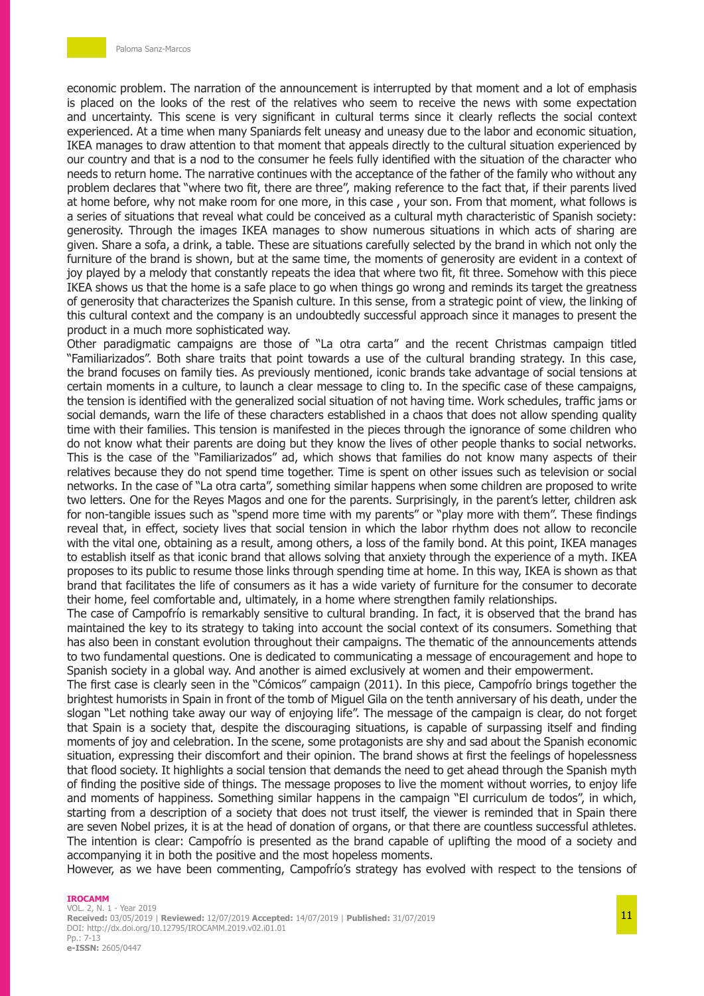economic problem. The narration of the announcement is interrupted by that moment and a lot of emphasis is placed on the looks of the rest of the relatives who seem to receive the news with some expectation and uncertainty. This scene is very significant in cultural terms since it clearly reflects the social context experienced. At a time when many Spaniards felt uneasy and uneasy due to the labor and economic situation, IKEA manages to draw attention to that moment that appeals directly to the cultural situation experienced by our country and that is a nod to the consumer he feels fully identified with the situation of the character who needs to return home. The narrative continues with the acceptance of the father of the family who without any problem declares that "where two fit, there are three", making reference to the fact that, if their parents lived at home before, why not make room for one more, in this case , your son. From that moment, what follows is a series of situations that reveal what could be conceived as a cultural myth characteristic of Spanish society: generosity. Through the images IKEA manages to show numerous situations in which acts of sharing are given. Share a sofa, a drink, a table. These are situations carefully selected by the brand in which not only the furniture of the brand is shown, but at the same time, the moments of generosity are evident in a context of joy played by a melody that constantly repeats the idea that where two fit, fit three. Somehow with this piece IKEA shows us that the home is a safe place to go when things go wrong and reminds its target the greatness of generosity that characterizes the Spanish culture. In this sense, from a strategic point of view, the linking of this cultural context and the company is an undoubtedly successful approach since it manages to present the product in a much more sophisticated way.

Other paradigmatic campaigns are those of "La otra carta" and the recent Christmas campaign titled "Familiarizados". Both share traits that point towards a use of the cultural branding strategy. In this case, the brand focuses on family ties. As previously mentioned, iconic brands take advantage of social tensions at certain moments in a culture, to launch a clear message to cling to. In the specific case of these campaigns, the tension is identified with the generalized social situation of not having time. Work schedules, traffic jams or social demands, warn the life of these characters established in a chaos that does not allow spending quality time with their families. This tension is manifested in the pieces through the ignorance of some children who do not know what their parents are doing but they know the lives of other people thanks to social networks. This is the case of the "Familiarizados" ad, which shows that families do not know many aspects of their relatives because they do not spend time together. Time is spent on other issues such as television or social networks. In the case of "La otra carta", something similar happens when some children are proposed to write two letters. One for the Reyes Magos and one for the parents. Surprisingly, in the parent's letter, children ask for non-tangible issues such as "spend more time with my parents" or "play more with them". These findings reveal that, in effect, society lives that social tension in which the labor rhythm does not allow to reconcile with the vital one, obtaining as a result, among others, a loss of the family bond. At this point, IKEA manages to establish itself as that iconic brand that allows solving that anxiety through the experience of a myth. IKEA proposes to its public to resume those links through spending time at home. In this way, IKEA is shown as that brand that facilitates the life of consumers as it has a wide variety of furniture for the consumer to decorate their home, feel comfortable and, ultimately, in a home where strengthen family relationships.

The case of Campofrío is remarkably sensitive to cultural branding. In fact, it is observed that the brand has maintained the key to its strategy to taking into account the social context of its consumers. Something that has also been in constant evolution throughout their campaigns. The thematic of the announcements attends to two fundamental questions. One is dedicated to communicating a message of encouragement and hope to Spanish society in a global way. And another is aimed exclusively at women and their empowerment.

The first case is clearly seen in the "Cómicos" campaign (2011). In this piece, Campofrío brings together the brightest humorists in Spain in front of the tomb of Miguel Gila on the tenth anniversary of his death, under the slogan "Let nothing take away our way of enjoying life". The message of the campaign is clear, do not forget that Spain is a society that, despite the discouraging situations, is capable of surpassing itself and finding moments of joy and celebration. In the scene, some protagonists are shy and sad about the Spanish economic situation, expressing their discomfort and their opinion. The brand shows at first the feelings of hopelessness that flood society. It highlights a social tension that demands the need to get ahead through the Spanish myth of finding the positive side of things. The message proposes to live the moment without worries, to enjoy life and moments of happiness. Something similar happens in the campaign "El curriculum de todos", in which, starting from a description of a society that does not trust itself, the viewer is reminded that in Spain there are seven Nobel prizes, it is at the head of donation of organs, or that there are countless successful athletes. The intention is clear: Campofrío is presented as the brand capable of uplifting the mood of a society and accompanying it in both the positive and the most hopeless moments.

However, as we have been commenting, Campofrío's strategy has evolved with respect to the tensions of

#### **IROCAMM** VOL. 2, N. 1 - Year 2019 **Received:** 03/05/2019 | **Reviewed:** 12/07/2019 **Accepted:** 14/07/2019 | **Published:** 31/07/2019 DOI: http://dx.doi.org/10.12795/IROCAMM.2019.v02.i01.01 Pp.: 7-13 **e-ISSN:** 2605/0447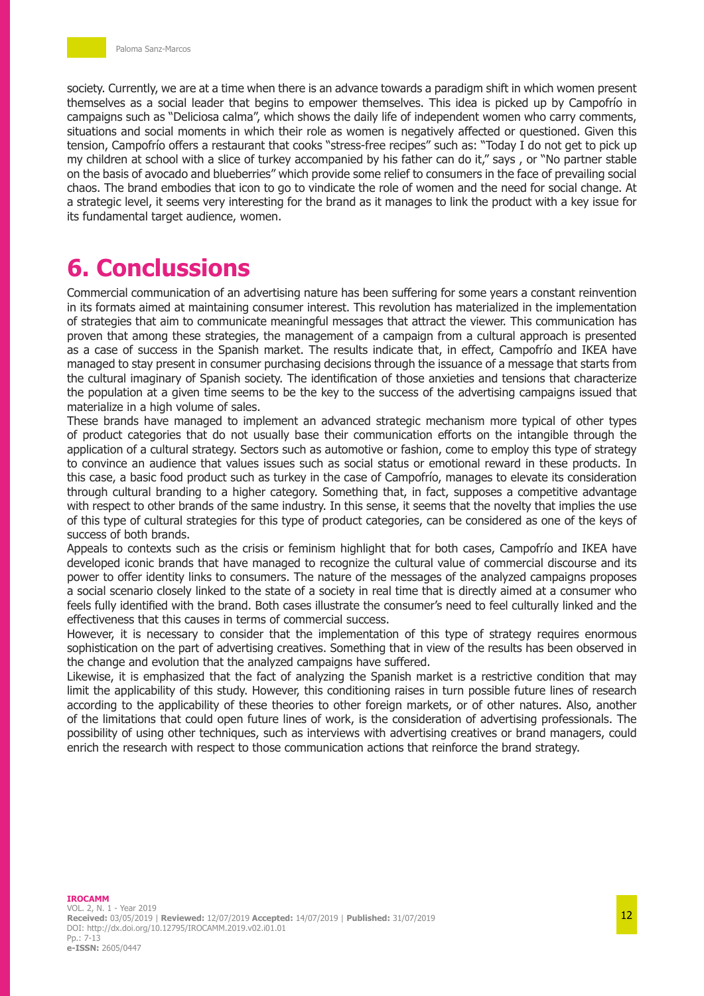society. Currently, we are at a time when there is an advance towards a paradigm shift in which women present themselves as a social leader that begins to empower themselves. This idea is picked up by Campofrío in campaigns such as "Deliciosa calma", which shows the daily life of independent women who carry comments, situations and social moments in which their role as women is negatively affected or questioned. Given this tension, Campofrío offers a restaurant that cooks "stress-free recipes" such as: "Today I do not get to pick up my children at school with a slice of turkey accompanied by his father can do it," says , or "No partner stable on the basis of avocado and blueberries" which provide some relief to consumers in the face of prevailing social chaos. The brand embodies that icon to go to vindicate the role of women and the need for social change. At a strategic level, it seems very interesting for the brand as it manages to link the product with a key issue for its fundamental target audience, women.

## **6. Conclussions**

Commercial communication of an advertising nature has been suffering for some years a constant reinvention in its formats aimed at maintaining consumer interest. This revolution has materialized in the implementation of strategies that aim to communicate meaningful messages that attract the viewer. This communication has proven that among these strategies, the management of a campaign from a cultural approach is presented as a case of success in the Spanish market. The results indicate that, in effect, Campofrío and IKEA have managed to stay present in consumer purchasing decisions through the issuance of a message that starts from the cultural imaginary of Spanish society. The identification of those anxieties and tensions that characterize the population at a given time seems to be the key to the success of the advertising campaigns issued that materialize in a high volume of sales.

These brands have managed to implement an advanced strategic mechanism more typical of other types of product categories that do not usually base their communication efforts on the intangible through the application of a cultural strategy. Sectors such as automotive or fashion, come to employ this type of strategy to convince an audience that values issues such as social status or emotional reward in these products. In this case, a basic food product such as turkey in the case of Campofrío, manages to elevate its consideration through cultural branding to a higher category. Something that, in fact, supposes a competitive advantage with respect to other brands of the same industry. In this sense, it seems that the novelty that implies the use of this type of cultural strategies for this type of product categories, can be considered as one of the keys of success of both brands.

Appeals to contexts such as the crisis or feminism highlight that for both cases, Campofrío and IKEA have developed iconic brands that have managed to recognize the cultural value of commercial discourse and its power to offer identity links to consumers. The nature of the messages of the analyzed campaigns proposes a social scenario closely linked to the state of a society in real time that is directly aimed at a consumer who feels fully identified with the brand. Both cases illustrate the consumer's need to feel culturally linked and the effectiveness that this causes in terms of commercial success.

However, it is necessary to consider that the implementation of this type of strategy requires enormous sophistication on the part of advertising creatives. Something that in view of the results has been observed in the change and evolution that the analyzed campaigns have suffered.

Likewise, it is emphasized that the fact of analyzing the Spanish market is a restrictive condition that may limit the applicability of this study. However, this conditioning raises in turn possible future lines of research according to the applicability of these theories to other foreign markets, or of other natures. Also, another of the limitations that could open future lines of work, is the consideration of advertising professionals. The possibility of using other techniques, such as interviews with advertising creatives or brand managers, could enrich the research with respect to those communication actions that reinforce the brand strategy.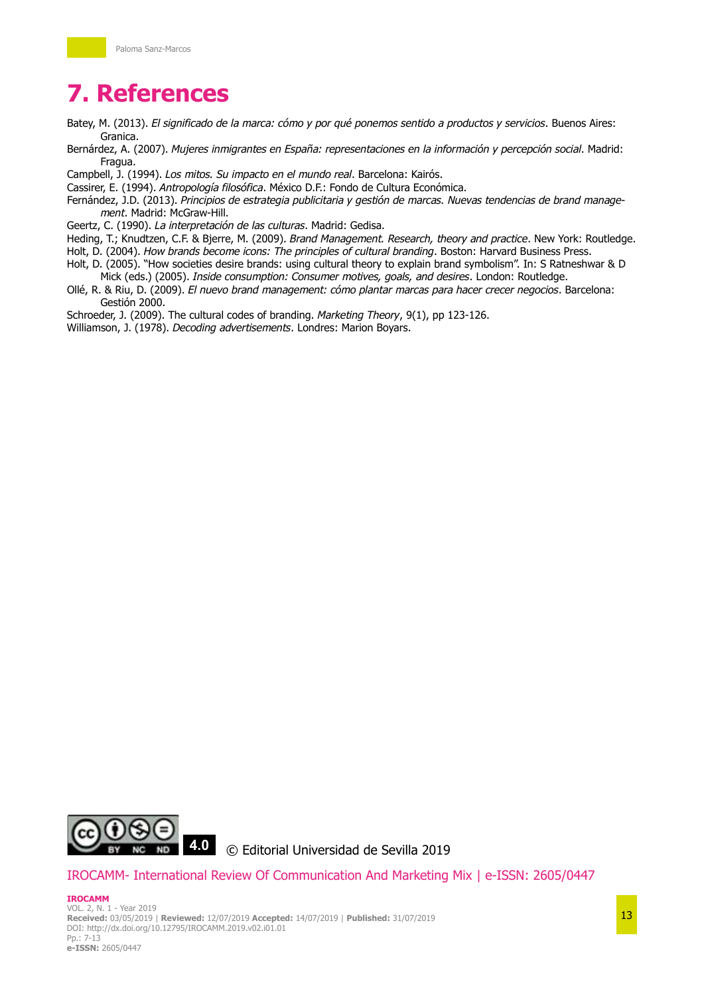# **7. References**

- Batey, M. (2013). *El significado de la marca: cómo y por qué ponemos sentido a productos y servicios*. Buenos Aires: Granica.
- Bernárdez, A. (2007). *Mujeres inmigrantes en España: representaciones en la información y percepción social*. Madrid: Fragua.

Campbell, J. (1994). *Los mitos. Su impacto en el mundo real*. Barcelona: Kairós.

- Cassirer, E. (1994). *Antropología filosófica*. México D.F.: Fondo de Cultura Económica.
- Fernández, J.D. (2013). *Principios de estrategia publicitaria y gestión de marcas. Nuevas tendencias de brand management*. Madrid: McGraw-Hill.
- Geertz, C. (1990). *La interpretación de las culturas*. Madrid: Gedisa.
- Heding, T.; Knudtzen, C.F. & Bjerre, M. (2009). *Brand Management. Research, theory and practice*. New York: Routledge.
- Holt, D. (2004). *How brands become icons: The principles of cultural branding*. Boston: Harvard Business Press.
- Holt, D. (2005). "How societies desire brands: using cultural theory to explain brand symbolism". In: S Ratneshwar & D Mick (eds.) (2005). *Inside consumption: Consumer motives, goals, and desires*. London: Routledge.
- Ollé, R. & Riu, D. (2009). *El nuevo brand management: cómo plantar marcas para hacer crecer negocios*. Barcelona: Gestión 2000.
- Schroeder, J. (2009). The cultural codes of branding. *Marketing Theory*, 9(1), pp 123-126.

Williamson, J. (1978). *Decoding advertisements*. Londres: Marion Boyars.



## IROCAMM- International Review Of Communication And Marketing Mix | e-ISSN: 2605/0447

#### **IROCAMM** VOL. 2, N. 1 - Year 2019 **Received:** 03/05/2019 | **Reviewed:** 12/07/2019 **Accepted:** 14/07/2019 | **Published:** 31/07/2019 DOI: http://dx.doi.org/10.12795/IROCAMM.2019.v02.i01.01 Pp.: 7-13 **e-ISSN:** 2605/0447